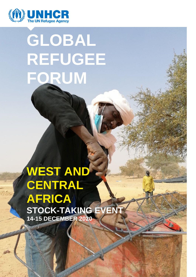

## **GLOBAL REFUGEE FORUM**

## **WEST AND CENTRAL AFRICA STOCK-TAKING EVENT 14-15 DECEMBER 2020**

West and Central Africa takes stock of programs that the progression of programs in the progression of programs in the contract of progression of progression and the contract of progression of progression and the contract

**d**, one year on the Global Refugee

For the High-level segment on Statelessnessness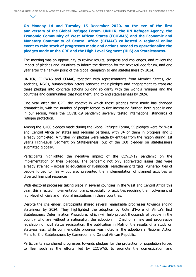**On Monday 14 and Tuesday 15 December 2020, on the eve of the first anniversary of the Global Refugee Forum, UNHCR, the UN Refugee Agency, the Economic Community of West African States (ECOWAS) and the Economic and Monetary Community of Central Africa (CEMAC) co-hosted a regional online event to take stock of progresses made and actions needed to operationalize the pledges made at the GRF and the High-Level Segment (HLS) on Statelessness.**

The meeting was an opportunity to review results, progress and challenges, and review the impact of pledges and initiatives to inform the direction for the next refugee forum, and one year after the halfway point of the global campaign to end statelessness by 2024.

UNHCR, ECOWAS and CEMAC, together with representatives from Member States, civil societies, NGOs, humanitarian actors renewed their pledges and engagement to translate these pledges into concrete actions building solidarity with the world's refugees and the countries and communities that host them, and to end statelessness by 2024.

One year after the GRF, the context in which these pledges were made has changed dramatically, with the number of people forced to flee increasing further, both globally and in our region, while the COVID-19 pandemic severely tested international standards of refugee protection.

Among the 1,400 pledges made during the Global Refugee Forum, 55 pledges were for West and Central Africa by states and regional partners, with 34 of them in progress and 3 already completed. A further 77 pledges were made by entities from the region during last year's High-Level Segment on Statelessness, out of the 360 pledges on statelessness submitted globally.

Participants highlighted the negative impact of the COVID-19 pandemic on the implementation of their pledges. The pandemic not only aggravated issues that were already strained – access to education or livelihoods, resettlement targets, vulnerabilities of people forced to flee – but also prevented the implementation of planned activities or diverted financial resources.

With electoral processes taking place in several countries in the West and Central Africa this year, this affected implementation plans, especially for activities requiring the involvement of high-level officials and national institutions in those countries.

Despite the challenges, participants shared several remarkable progresses towards ending stateliness by 2024. They highlighted the adoption by Côte d'Ivoire of Africa's first Statelessness Determination Procedure, which will help protect thousands of people in the country who are without a nationality, the adoption in Chad of a new and progressive legislation on civil status registration, the publication in Mali of the results of a study on statelessness, while commendable progress was noted in the adoption a National Action Plans to End Statelessness by Cameroon and Central African Republic.

Participants also shared progresses towards pledges for the protection of population forced to flee, such as the efforts, led by ECOWAS, to promote the domestication and